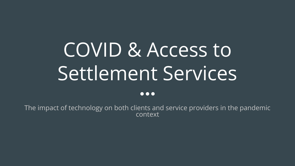# COVID & Access to Settlement Services

 $\bullet\bullet\bullet$ 

The impact of technology on both clients and service providers in the pandemic context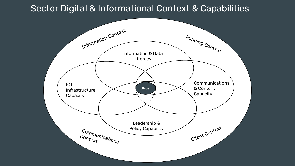#### Sector Digital & Informational Context & Capabilities

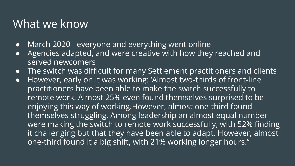### What we know

- March 2020 everyone and everything went online
- Agencies adapted, and were creative with how they reached and served newcomers
- The switch was difficult for many Settlement practitioners and clients
- However, early on it was working: 'Almost two-thirds of front-line practitioners have been able to make the switch successfully to remote work. Almost 25% even found themselves surprised to be enjoying this way of working.However, almost one-third found themselves struggling. Among leadership an almost equal number were making the switch to remote work successfully, with 52% finding it challenging but that they have been able to adapt. However, almost one-third found it a big shift, with 21% working longer hours."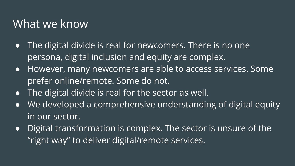### What we know

- The digital divide is real for newcomers. There is no one persona, digital inclusion and equity are complex.
- However, many newcomers are able to access services. Some prefer online/remote. Some do not.
- $\bullet$  The digital divide is real for the sector as well.
- We developed a comprehensive understanding of digital equity in our sector.
- Digital transformation is complex. The sector is unsure of the "right way" to deliver digital/remote services.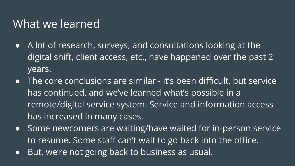### What we learned

- A lot of research, surveys, and consultations looking at the digital shift, client access, etc., have happened over the past 2 years.
- The core conclusions are similar it's been difficult, but service, has continued, and we've learned what's possible in a remote/digital service system. Service and information access has increased in many cases.
- Some newcomers are waiting/have waited for in-person service to resume. Some staff can't wait to go back into the office.
- But, we're not going back to business as usual.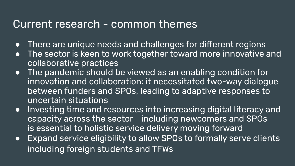#### Current research - common themes

- There are unique needs and challenges for different regions
- The sector is keen to work together toward more innovative and collaborative practices
- The pandemic should be viewed as an enabling condition for innovation and collaboration: it necessitated two-way dialogue between funders and SPOs, leading to adaptive responses to uncertain situations
- Investing time and resources into increasing digital literacy and capacity across the sector - including newcomers and SPOs is essential to holistic service delivery moving forward
- Expand service eligibility to allow SPOs to formally serve clients including foreign students and TFWs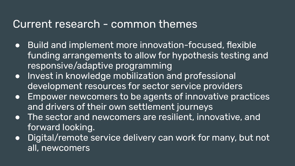#### Current research - common themes

- Build and implement more innovation-focused, flexible funding arrangements to allow for hypothesis testing and responsive/adaptive programming
- Invest in knowledge mobilization and professional development resources for sector service providers
- Empower newcomers to be agents of innovative practices and drivers of their own settlement journeys
- The sector and newcomers are resilient, innovative, and forward looking.
- Digital/remote service delivery can work for many, but not all, newcomers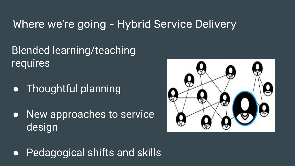### Where we're going - Hybrid Service Delivery

Blended learning/teaching requires

- Thoughtful planning
- New approaches to service design



● Pedagogical shifts and skills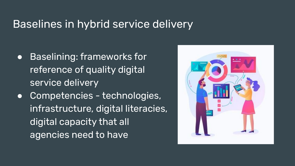#### Baselines in hybrid service delivery

- Baselining: frameworks for reference of quality digital service delivery
- Competencies technologies, infrastructure, digital literacies, digital capacity that all agencies need to have

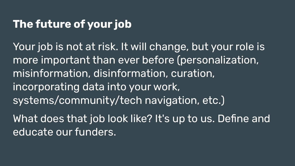### **The future of your job**

Your job is not at risk. It will change, but your role is more important than ever before (personalization, misinformation, disinformation, curation, incorporating data into your work, systems/community/tech navigation, etc.)

What does that job look like? It's up to us. Define and educate our funders.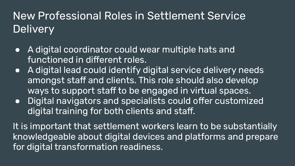### New Professional Roles in Settlement Service **Delivery**

- A digital coordinator could wear multiple hats and functioned in different roles.
- A digital lead could identify digital service delivery needs amongst staff and clients. This role should also develop ways to support staff to be engaged in virtual spaces.
- Digital navigators and specialists could offer customized digital training for both clients and staff.

It is important that settlement workers learn to be substantially knowledgeable about digital devices and platforms and prepare for digital transformation readiness.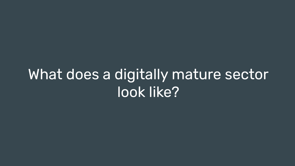# What does a digitally mature sector look like?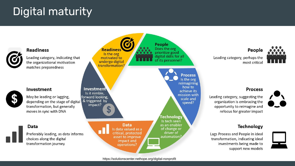### Digital maturity

Leading category, indicating that the organizational motivation matches preparedness

#### Investment

**Readiness** 

May be leading or lagging, depending on the stage of digital transformation, but generally moves in sync with DNA

#### Data

Preferably leading, as data informs choices along the digital transformation journey





People Leading category, perhaps the most critical

#### **Process**

Leading category, suggesting the organization is embracing the opportunity to reimagine and refocus for greater impact

#### **Technology**

Lags Process and People in ideal transformation, indicating ideal investments being made to support new models

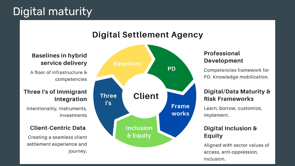### Digital maturity



**Digital Settlement Agency** 

#### **Baselines in hybrid** service delivery

A floor of infrastructure & competencies

#### Three I's of Immigrant Integration

Intentionality, Instruments, Investments

#### **Client-Centric Data**

Creating a seamless client settlement experience and journey.

#### Professional **Development**

Competencies framework for PD. Knowledge mobilization.

#### Digital/Data Maturity & **Risk Frameworks**

Learn, borrow, customize, implement.

#### Digital Inclusion & **Equity**

Aligned with sector values of access, anti-oppression, inclusion.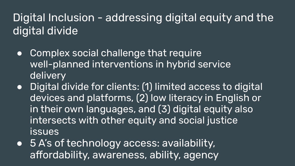Digital Inclusion - addressing digital equity and the digital divide

- Complex social challenge that require well-planned interventions in hybrid service delivery
- Digital divide for clients: (1) limited access to digital devices and platforms, (2) low literacy in English or in their own languages, and (3) digital equity also intersects with other equity and social justice issues
- 5 A's of technology access: availability, affordability, awareness, ability, agency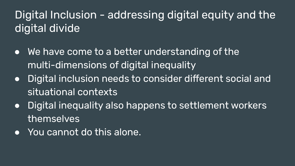### Digital Inclusion - addressing digital equity and the digital divide

- We have come to a better understanding of the multi-dimensions of digital inequality
- Digital inclusion needs to consider different social and situational contexts
- Digital inequality also happens to settlement workers themselves
- You cannot do this alone.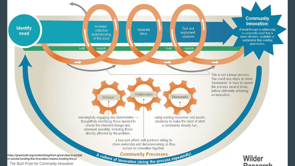

https://grantcraft.org/content/blog/from-good-idea-to-proble m-solved-funding-the-innovation-means-funding-the-p/The Bush Prize for Community Innovation

A culture of innovation (doing the process repeatedly)

**Wilder** Doogarah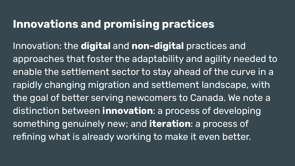### **Innovations and promising practices**

Innovation: the **digital** and **non-digital** practices and approaches that foster the adaptability and agility needed to enable the settlement sector to stay ahead of the curve in a rapidly changing migration and settlement landscape, with the goal of better serving newcomers to Canada. We note a distinction between **innovation**: a process of developing something genuinely new; and **iteration**: a process of refining what is already working to make it even better.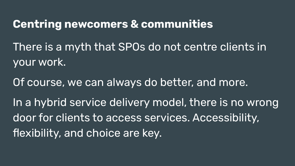### **Centring newcomers & communities**

There is a myth that SPOs do not centre clients in your work.

Of course, we can always do better, and more. In a hybrid service delivery model, there is no wrong door for clients to access services. Accessibility, flexibility, and choice are key.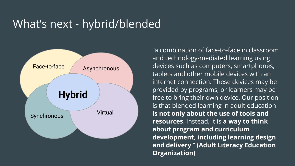### What's next - hybrid/blended



"a combination of face-to-face in classroom and technology-mediated learning using devices such as computers, smartphones, tablets and other mobile devices with an internet connection. These devices may be provided by programs, or learners may be free to bring their own device. Our position is that blended learning in adult education **is not only about the use of tools and resources**. Instead, it is **a way to think about program and curriculum development, including learning design and delivery**." **(Adult Literacy Education Organization)**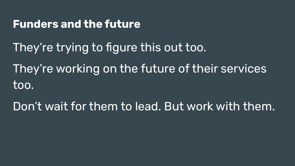#### **Funders and the future**

- They're trying to figure this out too.
- They're working on the future of their services too.
- Don't wait for them to lead. But work with them.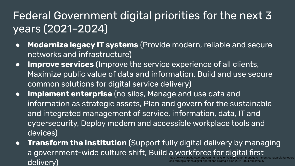### Federal Government digital priorities for the next 3 years (2021–2024)

- **Modernize legacy IT systems** (Provide modern, reliable and secure networks and infrastructure)
- **Improve services** (Improve the service experience of all clients, Maximize public value of data and information, Build and use secure common solutions for digital service delivery)
- **Implement enterprise** (no silos, Manage and use data and information as strategic assets, Plan and govern for the sustainable and integrated management of service, information, data, IT and cybersecurity, Deploy modern and accessible workplace tools and devices)
- **Transform the institution** (Support fully digital delivery by managing a government-wide culture shift, Build a workforce for digital first delivery) https://www.canada.ca/en/government/system/digital-government/government-canada-digital-operat ions-strategic-plans/digital-operations-strategic-plan-2021-2024.html#toc06